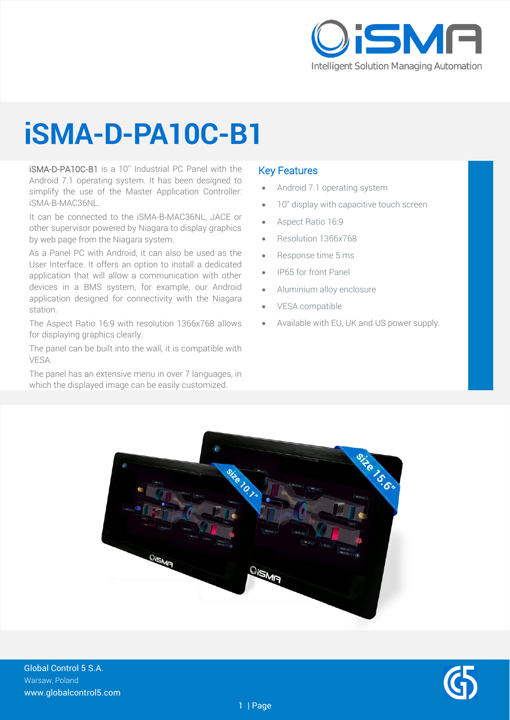

# **iSMA-D-PA10C-B1**

iSMA-D-PA10C-B1 is a 10'' Industrial PC Panel with the Android 7.1 operating system. It has been designed to simplify the use of the Master Application Controller: iSMA-B-MAC36NL.

It can be connected to the iSMA-B-MAC36NL, JACE or other supervisor powered by Niagara to display graphics by web page from the Niagara system.

As a Panel PC with Android, it can also be used as the User Interface. It offers an option to install a dedicated application that will allow a communication with other devices in a BMS system, for example, our Android application designed for connectivity with the Niagara station.

The Aspect Ratio 16:9 with resolution 1366x768 allows for displaying graphics clearly.

The panel can be built into the wall, it is compatible with VESA.

The panel has an extensive menu in over 7 languages, in which the displayed image can be easily customized.

#### Key Features

- Android 7.1 operating system
- 10" display with capacitive touch screen
- Aspect Ratio 16:9
- Resolution 1366x768
- Response time 5 ms
- IP65 for front Panel
- Aluminium alloy enclosure
- VESA compatible
- Available with EU, UK and US power supply.